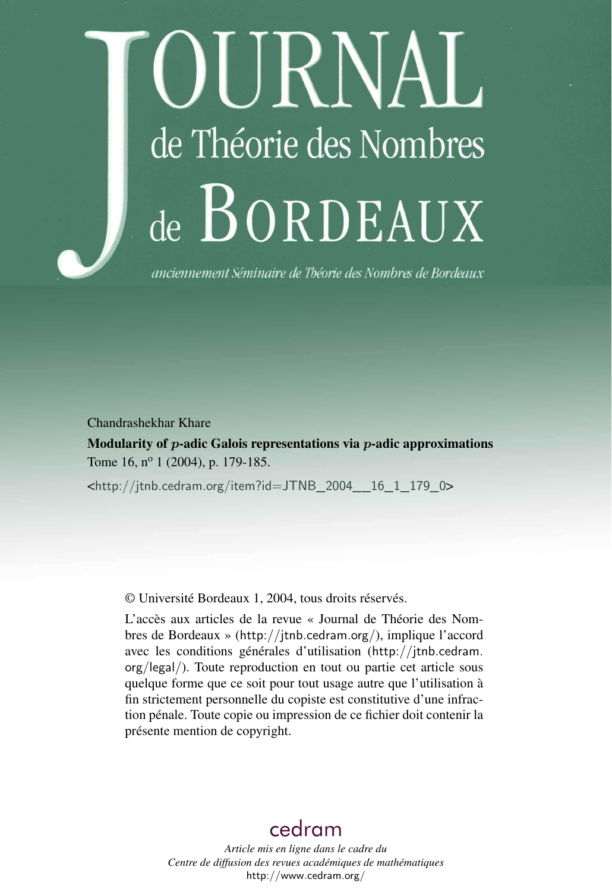# DURNAL de Théorie des Nombres de BORDEAUX

anciennement Séminaire de Théorie des Nombres de Bordeaux

Chandrashekhar Khare

Modularity of  $p$ -adic Galois representations via  $p$ -adic approximations Tome 16, n<sup>o</sup> 1 (2004), p. 179-185.

<[http://jtnb.cedram.org/item?id=JTNB\\_2004\\_\\_16\\_1\\_179\\_0](http://jtnb.cedram.org/item?id=JTNB_2004__16_1_179_0)>

© Université Bordeaux 1, 2004, tous droits réservés.

L'accès aux articles de la revue « Journal de Théorie des Nombres de Bordeaux » (<http://jtnb.cedram.org/>), implique l'accord avec les conditions générales d'utilisation ([http://jtnb.cedram.](http://jtnb.cedram.org/legal/) [org/legal/](http://jtnb.cedram.org/legal/)). Toute reproduction en tout ou partie cet article sous quelque forme que ce soit pour tout usage autre que l'utilisation à fin strictement personnelle du copiste est constitutive d'une infraction pénale. Toute copie ou impression de ce fichier doit contenir la présente mention de copyright.

## [cedram](http://www.cedram.org/)

*Article mis en ligne dans le cadre du Centre de diffusion des revues académiques de mathématiques* <http://www.cedram.org/>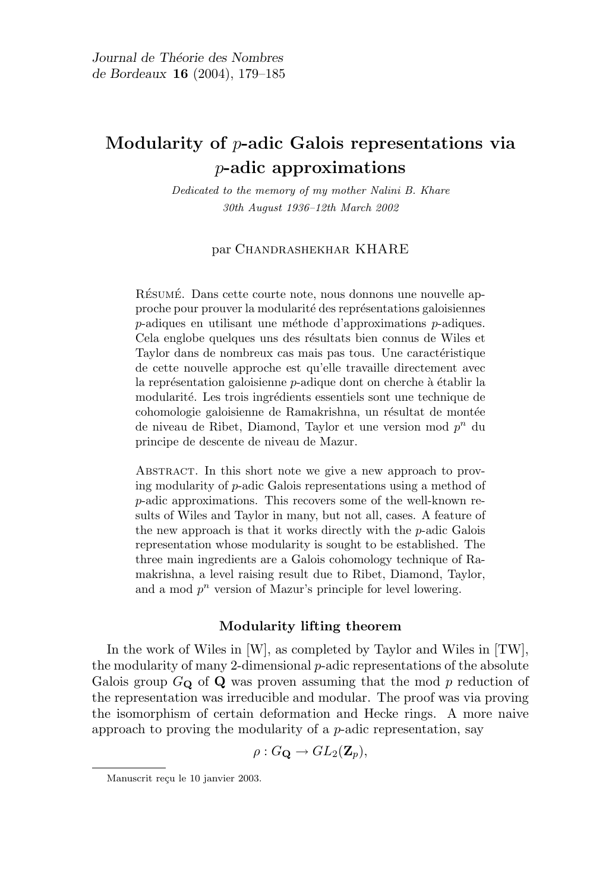### Modularity of p-adic Galois representations via p-adic approximations

Dedicated to the memory of my mother Nalini B. Khare 30th August 1936–12th March 2002

#### par Chandrashekhar KHARE

RÉSUMÉ. Dans cette courte note, nous donnons une nouvelle approche pour prouver la modularité des représentations galoisiennes  $p$ -adiques en utilisant une méthode d'approximations  $p$ -adiques. Cela englobe quelques uns des résultats bien connus de Wiles et Taylor dans de nombreux cas mais pas tous. Une caractéristique de cette nouvelle approche est qu'elle travaille directement avec la représentation galoisienne  $p$ -adique dont on cherche à établir la modularité. Les trois ingrédients essentiels sont une technique de cohomologie galoisienne de Ramakrishna, un résultat de montée de niveau de Ribet, Diamond, Taylor et une version mod  $p^n$  du principe de descente de niveau de Mazur.

ABSTRACT. In this short note we give a new approach to proving modularity of p-adic Galois representations using a method of p-adic approximations. This recovers some of the well-known results of Wiles and Taylor in many, but not all, cases. A feature of the new approach is that it works directly with the p-adic Galois representation whose modularity is sought to be established. The three main ingredients are a Galois cohomology technique of Ramakrishna, a level raising result due to Ribet, Diamond, Taylor, and a mod  $p^n$  version of Mazur's principle for level lowering.

#### Modularity lifting theorem

In the work of Wiles in [W], as completed by Taylor and Wiles in [TW], the modularity of many 2-dimensional  $p$ -adic representations of the absolute Galois group  $G_{\mathbf{Q}}$  of  $\mathbf{Q}$  was proven assuming that the mod p reduction of the representation was irreducible and modular. The proof was via proving the isomorphism of certain deformation and Hecke rings. A more naive approach to proving the modularity of a p-adic representation, say

 $\rho: G_{\mathbf{Q}} \to GL_2(\mathbf{Z}_p),$ 

Manuscrit reçu le 10 janvier 2003.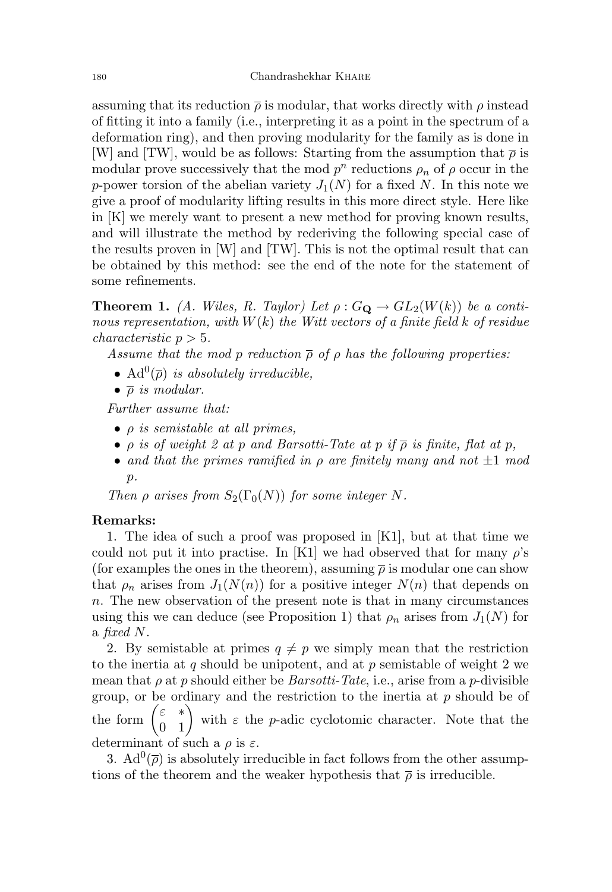assuming that its reduction  $\bar{\rho}$  is modular, that works directly with  $\rho$  instead of fitting it into a family (i.e., interpreting it as a point in the spectrum of a deformation ring), and then proving modularity for the family as is done in [W] and [TW], would be as follows: Starting from the assumption that  $\bar{\rho}$  is modular prove successively that the mod  $p^n$  reductions  $\rho_n$  of  $\rho$  occur in the p-power torsion of the abelian variety  $J_1(N)$  for a fixed N. In this note we give a proof of modularity lifting results in this more direct style. Here like in [K] we merely want to present a new method for proving known results, and will illustrate the method by rederiving the following special case of the results proven in  $[W]$  and  $[TW]$ . This is not the optimal result that can be obtained by this method: see the end of the note for the statement of some refinements.

**Theorem 1.** (A. Wiles, R. Taylor) Let  $\rho$ :  $G_{\mathbf{Q}} \to GL_2(W(k))$  be a continous representation, with  $W(k)$  the Witt vectors of a finite field k of residue  $characteristic p > 5.$ 

Assume that the mod p reduction  $\overline{\rho}$  of  $\rho$  has the following properties:

- Ad<sup>0</sup> $(\overline{\rho})$  is absolutely irreducible,
- $\bullet$   $\overline{\rho}$  is modular.

Further assume that:

- $\bullet$   $\rho$  is semistable at all primes,
- $\rho$  is of weight 2 at p and Barsotti-Tate at p if  $\overline{\rho}$  is finite, flat at p,
- and that the primes ramified in  $\rho$  are finitely many and not  $\pm 1$  mod  $p$ .

Then  $\rho$  arises from  $S_2(\Gamma_0(N))$  for some integer N.

#### Remarks:

1. The idea of such a proof was proposed in [K1], but at that time we could not put it into practise. In [K1] we had observed that for many  $\rho$ 's (for examples the ones in the theorem), assuming  $\bar{\rho}$  is modular one can show that  $\rho_n$  arises from  $J_1(N(n))$  for a positive integer  $N(n)$  that depends on n. The new observation of the present note is that in many circumstances using this we can deduce (see Proposition 1) that  $\rho_n$  arises from  $J_1(N)$  for a fixed N.

2. By semistable at primes  $q \neq p$  we simply mean that the restriction to the inertia at q should be unipotent, and at  $p$  semistable of weight 2 we mean that  $\rho$  at p should either be *Barsotti-Tate*, i.e., arise from a p-divisible group, or be ordinary and the restriction to the inertia at  $p$  should be of the form  $\begin{pmatrix} \varepsilon & * \\ 0 & 1 \end{pmatrix}$  with  $\varepsilon$  the *p*-adic cyclotomic character. Note that the determinant of such a  $\rho$  is  $\varepsilon$ .

3.  $\text{Ad}^0(\overline{\rho})$  is absolutely irreducible in fact follows from the other assumptions of the theorem and the weaker hypothesis that  $\bar{\rho}$  is irreducible.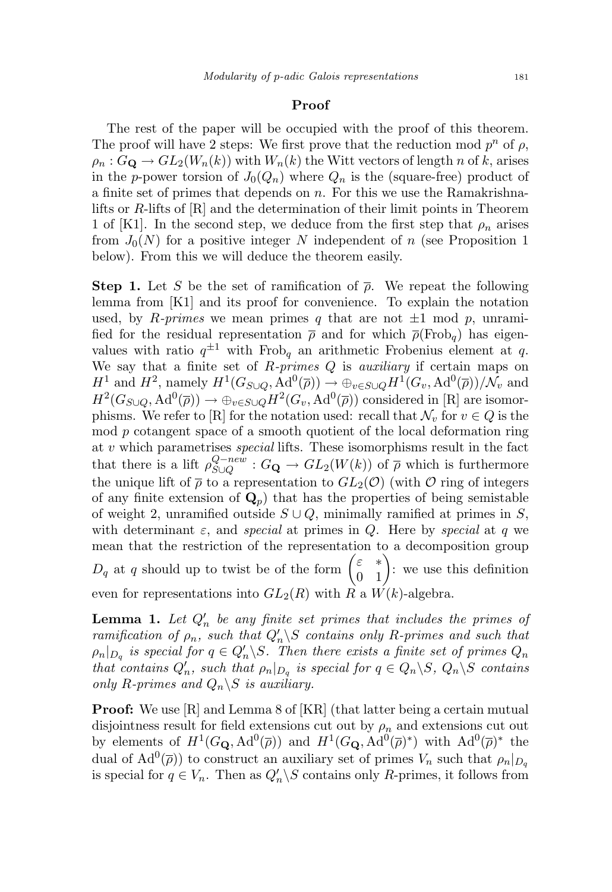#### Proof

The rest of the paper will be occupied with the proof of this theorem. The proof will have 2 steps: We first prove that the reduction mod  $p^n$  of  $\rho$ ,  $\rho_n$ :  $G_{\mathbf{Q}} \to GL_2(W_n(k))$  with  $W_n(k)$  the Witt vectors of length n of k, arises in the p-power torsion of  $J_0(Q_n)$  where  $Q_n$  is the (square-free) product of a finite set of primes that depends on  $n$ . For this we use the Ramakrishnalifts or R-lifts of [R] and the determination of their limit points in Theorem 1 of [K1]. In the second step, we deduce from the first step that  $\rho_n$  arises from  $J_0(N)$  for a positive integer N independent of n (see Proposition 1) below). From this we will deduce the theorem easily.

**Step 1.** Let S be the set of ramification of  $\bar{\rho}$ . We repeat the following lemma from [K1] and its proof for convenience. To explain the notation used, by R-primes we mean primes q that are not  $\pm 1$  mod p, unramified for the residual representation  $\bar{\rho}$  and for which  $\bar{\rho}$ (Frob<sub>a</sub>) has eigenvalues with ratio  $q^{\pm 1}$  with Frob<sub>q</sub> an arithmetic Frobenius element at q. We say that a finite set of  $R\text{-}primes Q$  is *auxiliary* if certain maps on  $H^1$  and  $H^2$ , namely  $H^1(G_{S\cup Q}, \text{Ad}^0(\overline{\rho})) \to \bigoplus_{v \in S\cup Q} H^1(G_v, \text{Ad}^0(\overline{\rho}))/\mathcal{N}_v$  and  $H^2(G_{S\cup Q}, \text{Ad}^0(\overline{\rho})) \to \oplus_{v \in S\cup Q} H^2(G_v, \text{Ad}^0(\overline{\rho}))$  considered in [R] are isomorphisms. We refer to [R] for the notation used: recall that  $\mathcal{N}_v$  for  $v \in Q$  is the mod p cotangent space of a smooth quotient of the local deformation ring at  $v$  which parametrises *special* lifts. These isomorphisms result in the fact that there is a lift  $\rho_{S\cup O}^{Q-new}$  $S_{\text{UQ}}^{Q-new}$  :  $G_{\mathbf{Q}} \to GL_2(W(k))$  of  $\bar{\rho}$  which is furthermore the unique lift of  $\bar{\rho}$  to a representation to  $GL_2(\mathcal{O})$  (with  $\mathcal O$  ring of integers of any finite extension of  $\mathbf{Q}_p$ ) that has the properties of being semistable of weight 2, unramified outside  $S \cup Q$ , minimally ramified at primes in S, with determinant  $\varepsilon$ , and special at primes in Q. Here by special at q we mean that the restriction of the representation to a decomposition group  $D_q$  at q should up to twist be of the form  $\begin{pmatrix} \varepsilon & * \\ 0 & 1 \end{pmatrix}$ : we use this definition even for representations into  $GL_2(R)$  with R a  $W(k)$ -algebra.

**Lemma 1.** Let  $Q'_n$  be any finite set primes that includes the primes of ramification of  $\rho_n$ , such that  $Q'_n \backslash S$  contains only R-primes and such that  $\rho_n|_{D_q}$  is special for  $q \in Q'_n \backslash S$ . Then there exists a finite set of primes  $Q_n$ that contains  $Q'_n$ , such that  $\rho_n|_{D_q}$  is special for  $q \in Q_n \backslash S$ ,  $Q_n \backslash S$  contains only R-primes and  $Q_n \backslash S$  is auxiliary.

Proof: We use [R] and Lemma 8 of [KR] (that latter being a certain mutual disjointness result for field extensions cut out by  $\rho_n$  and extensions cut out by elements of  $H^1(G_{\mathbf{Q}}, \text{Ad}^0(\overline{\rho}))$  and  $H^1(G_{\mathbf{Q}}, \text{Ad}^0(\overline{\rho})^*)$  with  $\text{Ad}^0(\overline{\rho})^*$  the dual of  $\text{Ad}^0(\overline{\rho})$  to construct an auxiliary set of primes  $V_n$  such that  $\rho_n|_{D_q}$ is special for  $q \in V_n$ . Then as  $Q'_n \backslash S$  contains only R-primes, it follows from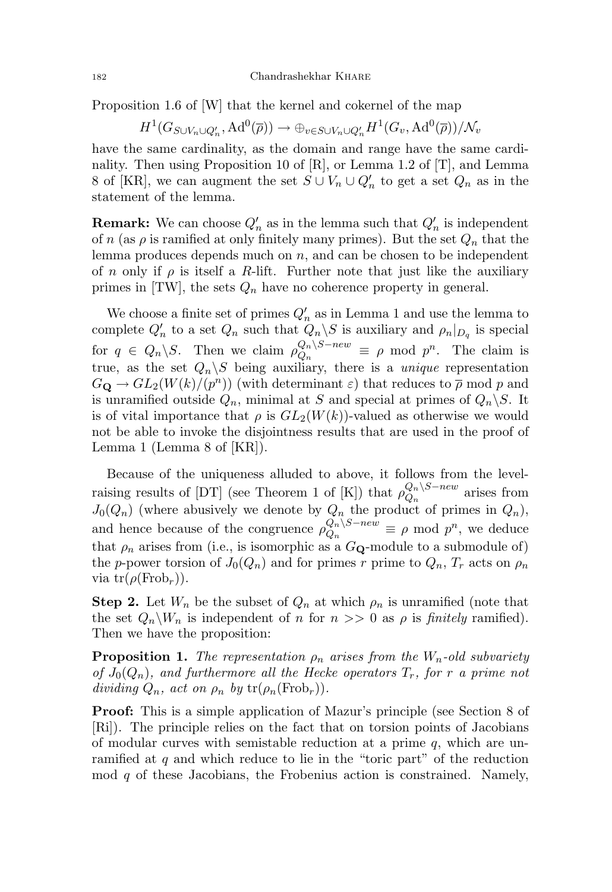Proposition 1.6 of [W] that the kernel and cokernel of the map

$$
H^1(G_{S\cup V_n\cup Q'_n},\mathrm{Ad}^0(\overline{\rho}))\to \oplus_{v\in S\cup V_n\cup Q'_n}H^1(G_v,\mathrm{Ad}^0(\overline{\rho}))/\mathcal{N}_v
$$

have the same cardinality, as the domain and range have the same cardinality. Then using Proposition 10 of [R], or Lemma 1.2 of [T], and Lemma 8 of [KR], we can augment the set  $S \cup V_n \cup Q'_n$  to get a set  $Q_n$  as in the statement of the lemma.

**Remark:** We can choose  $Q'_n$  as in the lemma such that  $Q'_n$  is independent of n (as  $\rho$  is ramified at only finitely many primes). But the set  $Q_n$  that the lemma produces depends much on  $n$ , and can be chosen to be independent of n only if  $\rho$  is itself a R-lift. Further note that just like the auxiliary primes in  $|TW|$ , the sets  $Q_n$  have no coherence property in general.

We choose a finite set of primes  $Q'_n$  as in Lemma 1 and use the lemma to complete  $Q'_n$  to a set  $Q_n$  such that  $\tilde{Q}_n \backslash S$  is auxiliary and  $\rho_n|_{D_q}$  is special for  $q \in Q_n \backslash S$ . Then we claim  $\rho_{Q_n}^{Q_n \backslash S-new}$  $\frac{Q_n}{Q_n} \equiv \rho \mod p^n$ . The claim is true, as the set  $Q_n \backslash S$  being auxiliary, there is a *unique* representation  $G_{\mathbf{Q}} \to GL_2(W(k)/(p^n))$  (with determinant  $\varepsilon$ ) that reduces to  $\overline{\rho}$  mod p and is unramified outside  $Q_n$ , minimal at S and special at primes of  $Q_n \backslash S$ . It is of vital importance that  $\rho$  is  $GL_2(W(k))$ -valued as otherwise we would not be able to invoke the disjointness results that are used in the proof of Lemma 1 (Lemma 8 of [KR]).

Because of the uniqueness alluded to above, it follows from the levelraising results of [DT] (see Theorem 1 of [K]) that  $\rho_{O_n}^{Q_n \setminus S-new}$  $Q_n^{\mathcal{Q}_n \setminus \mathcal{Q}-new}$  arises from  $J_0(Q_n)$  (where abusively we denote by  $Q_n$  the product of primes in  $Q_n$ ), and hence because of the congruence  $\rho_{O_n}^{Q_n \setminus S-new}$  $Q_n \leq R_n$  =  $\rho$  mod  $p^n$ , we deduce that  $\rho_n$  arises from (i.e., is isomorphic as a  $G_Q$ -module to a submodule of) the p-power torsion of  $J_0(Q_n)$  and for primes r prime to  $Q_n$ ,  $T_r$  acts on  $\rho_n$ via  $\text{tr}(\rho(\text{Frob}_r)).$ 

**Step 2.** Let  $W_n$  be the subset of  $Q_n$  at which  $\rho_n$  is unramified (note that the set  $Q_n \backslash W_n$  is independent of n for  $n >> 0$  as  $\rho$  is finitely ramified). Then we have the proposition:

**Proposition 1.** The representation  $\rho_n$  arises from the  $W_n$ -old subvariety of  $J_0(Q_n)$ , and furthermore all the Hecke operators  $T_r$ , for r a prime not dividing  $Q_n$ , act on  $\rho_n$  by  $tr(\rho_n(\text{Frob}_r))$ .

Proof: This is a simple application of Mazur's principle (see Section 8 of [Ri]). The principle relies on the fact that on torsion points of Jacobians of modular curves with semistable reduction at a prime  $q$ , which are unramified at  $q$  and which reduce to lie in the "toric part" of the reduction mod  $q$  of these Jacobians, the Frobenius action is constrained. Namely,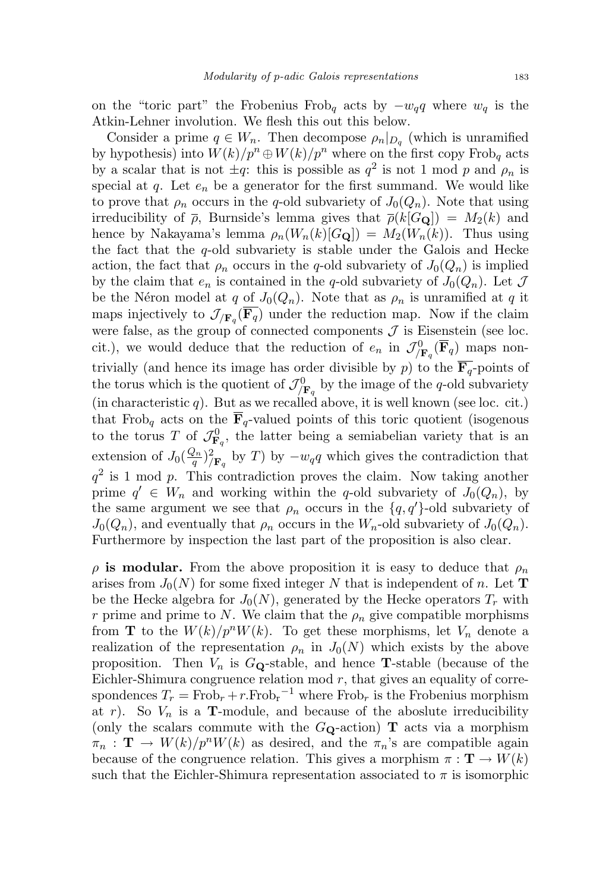on the "toric part" the Frobenius Frob<sub>q</sub> acts by  $-w_qq$  where  $w_q$  is the Atkin-Lehner involution. We flesh this out this below.

Consider a prime  $q \in W_n$ . Then decompose  $\rho_n|_{D_q}$  (which is unramified by hypothesis) into  $W(k)/p^n \oplus W(k)/p^n$  where on the first copy Frob<sub>q</sub> acts by a scalar that is not  $\pm q$ : this is possible as  $q^2$  is not 1 mod p and  $\rho_n$  is special at  $q$ . Let  $e_n$  be a generator for the first summand. We would like to prove that  $\rho_n$  occurs in the q-old subvariety of  $J_0(Q_n)$ . Note that using irreducibility of  $\bar{\rho}$ , Burnside's lemma gives that  $\bar{\rho}(k[G_{\mathbf{Q}}]) = M_2(k)$  and hence by Nakayama's lemma  $\rho_n(W_n(k)[G_{\mathbf{Q}}]) = M_2(W_n(k))$ . Thus using the fact that the  $q$ -old subvariety is stable under the Galois and Hecke action, the fact that  $\rho_n$  occurs in the q-old subvariety of  $J_0(Q_n)$  is implied by the claim that  $e_n$  is contained in the q-old subvariety of  $J_0(Q_n)$ . Let  $\mathcal J$ be the Néron model at q of  $J_0(Q_n)$ . Note that as  $\rho_n$  is unramified at q it maps injectively to  $\mathcal{J}_{/\mathbf{F}_q}(\mathbf{F}_q)$  under the reduction map. Now if the claim were false, as the group of connected components  $\mathcal J$  is Eisenstein (see loc. cit.), we would deduce that the reduction of  $e_n$  in  $\mathcal{J}_{/\mathbf{F}_q}^0(\overline{\mathbf{F}}_q)$  maps nontrivially (and hence its image has order divisible by p) to the  $\overline{\mathbf{F}_q}$ -points of the torus which is the quotient of  $\mathcal{J}_{\mathbf{F}_q}^0$  by the image of the q-old subvariety (in characteristic  $q$ ). But as we recalled above, it is well known (see loc. cit.) that Frob<sub>q</sub> acts on the  $\overline{\mathbf{F}}_q$ -valued points of this toric quotient (isogenous to the torus T of  $\mathcal{J}_{\mathbf{F}_q}^0$ , the latter being a semiabelian variety that is an extension of  $J_0(\frac{Q_n}{q})$  $(\frac{\partial n}{q})^2/\mathbf{F}_q$  by T) by  $-w_qq$  which gives the contradiction that  $q^2$  is 1 mod p. This contradiction proves the claim. Now taking another prime  $q' \in W_n$  and working within the q-old subvariety of  $J_0(Q_n)$ , by the same argument we see that  $\rho_n$  occurs in the  $\{q, q'\}$ -old subvariety of  $J_0(Q_n)$ , and eventually that  $\rho_n$  occurs in the  $W_n$ -old subvariety of  $J_0(Q_n)$ . Furthermore by inspection the last part of the proposition is also clear.

 $\rho$  is modular. From the above proposition it is easy to deduce that  $\rho_n$ arises from  $J_0(N)$  for some fixed integer N that is independent of n. Let **T** be the Hecke algebra for  $J_0(N)$ , generated by the Hecke operators  $T_r$  with r prime and prime to N. We claim that the  $\rho_n$  give compatible morphisms from **T** to the  $W(k)/p^nW(k)$ . To get these morphisms, let  $V_n$  denote a realization of the representation  $\rho_n$  in  $J_0(N)$  which exists by the above proposition. Then  $V_n$  is  $G_Q$ -stable, and hence **T**-stable (because of the Eichler-Shimura congruence relation mod  $r$ , that gives an equality of correspondences  $T_r = \text{Frob}_r + r.\text{Frob}_r^{-1}$  where  $\text{Frob}_r$  is the Frobenius morphism at r). So  $V_n$  is a **T**-module, and because of the aboslute irreducibility (only the scalars commute with the  $G_{\mathbf{Q}}$ -action) **T** acts via a morphism  $\pi_n$ :  $\mathbf{T} \to W(k)/p^nW(k)$  as desired, and the  $\pi_n$ 's are compatible again because of the congruence relation. This gives a morphism  $\pi : \mathbf{T} \to W(k)$ such that the Eichler-Shimura representation associated to  $\pi$  is isomorphic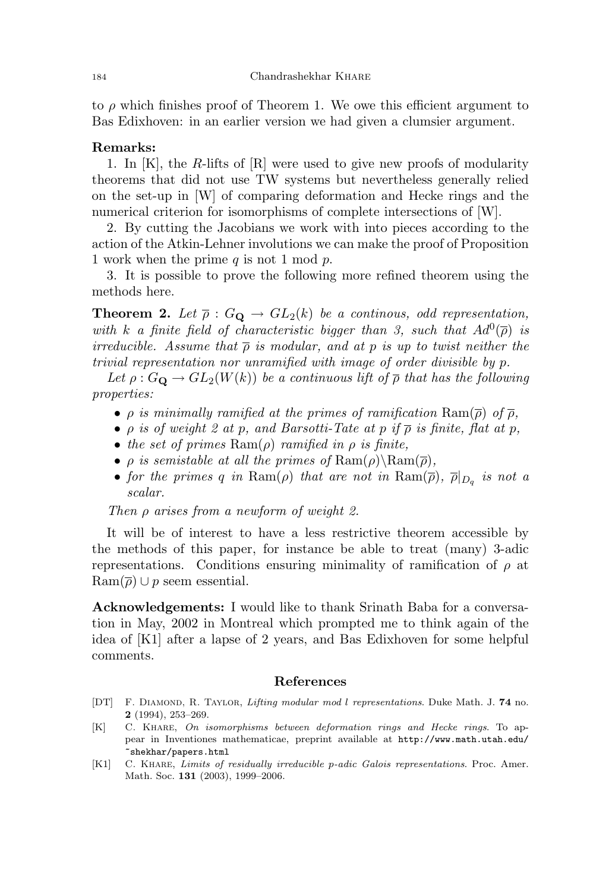to  $\rho$  which finishes proof of Theorem 1. We owe this efficient argument to Bas Edixhoven: in an earlier version we had given a clumsier argument.

#### Remarks:

1. In [K], the R-lifts of [R] were used to give new proofs of modularity theorems that did not use TW systems but nevertheless generally relied on the set-up in [W] of comparing deformation and Hecke rings and the numerical criterion for isomorphisms of complete intersections of [W].

2. By cutting the Jacobians we work with into pieces according to the action of the Atkin-Lehner involutions we can make the proof of Proposition 1 work when the prime  $q$  is not 1 mod  $p$ .

3. It is possible to prove the following more refined theorem using the methods here.

**Theorem 2.** Let  $\overline{\rho}: G_{\mathbf{Q}} \to GL_2(k)$  be a continuous, odd representation, with k a finite field of characteristic bigger than 3, such that  $Ad^0(\overline{\rho})$  is irreducible. Assume that  $\bar{\rho}$  is modular, and at p is up to twist neither the trivial representation nor unramified with image of order divisible by p.

Let  $\rho: G_{\mathbf{Q}} \to GL_2(W(k))$  be a continuous lift of  $\overline{\rho}$  that has the following properties:

- $\rho$  is minimally ramified at the primes of ramification  $\text{Ram}(\overline{\rho})$  of  $\overline{\rho}$ ,
- $\rho$  is of weight 2 at p, and Barsotti-Tate at p if  $\overline{\rho}$  is finite, flat at p,
- the set of primes  $\text{Ram}(\rho)$  ramified in  $\rho$  is finite,
- $\rho$  is semistable at all the primes of  $\text{Ram}(\rho)\backslash \text{Ram}(\overline{\rho})$ ,
- for the primes q in  $\text{Ram}(\rho)$  that are not in  $\text{Ram}(\overline{\rho}), \overline{\rho}|_{D_q}$  is not a scalar.

Then  $\rho$  arises from a newform of weight 2.

It will be of interest to have a less restrictive theorem accessible by the methods of this paper, for instance be able to treat (many) 3-adic representations. Conditions ensuring minimality of ramification of  $\rho$  at  $\text{Ram}(\overline{\rho}) \cup p$  seem essential.

Acknowledgements: I would like to thank Srinath Baba for a conversation in May, 2002 in Montreal which prompted me to think again of the idea of [K1] after a lapse of 2 years, and Bas Edixhoven for some helpful comments.

#### References

- [DT] F. DIAMOND, R. TAYLOR, Lifting modular mod l representations. Duke Math. J. 74 no. 2 (1994), 253–269.
- [K] C. Khare, On isomorphisms between deformation rings and Hecke rings. To appear in Inventiones mathematicae, preprint available at http://www.math.utah.edu/ ~shekhar/papers.html
- [K1] C. Khare, Limits of residually irreducible p-adic Galois representations. Proc. Amer. Math. Soc. 131 (2003), 1999–2006.